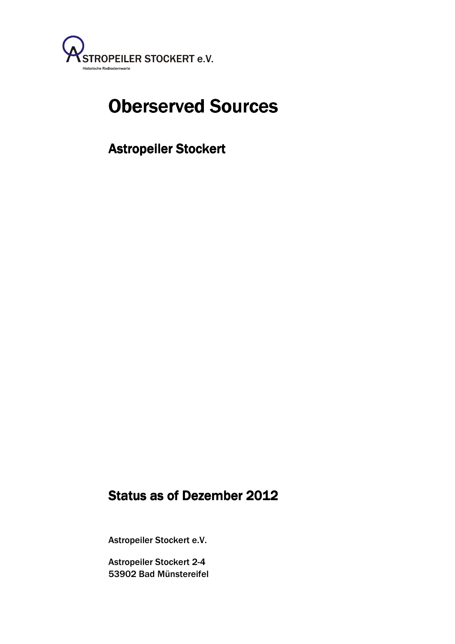

# Oberserved Sources

Astropeiler Stockert

# Status as of Dezember 2012

Astropeiler Stockert e.V.

 53902 Bad Münstereifel Astropeiler Stockert 2-4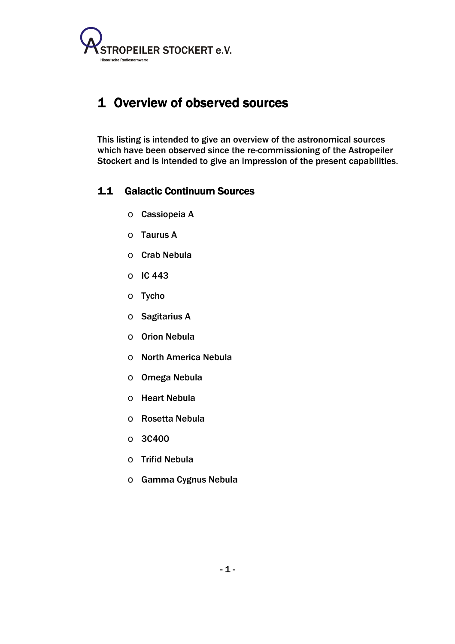

## 1 Overview of observed sources

This listing is intended to give an overview of the astronomical sources which have been observed since the re-commissioning of the Astropeiler Stockert and is intended to give an impression of the present capabilities.

#### 1.1 Galactic Continuum Sources

- o Cassiopeia A
- o Taurus A
- o Crab Nebula
- o IC 443
- o Tycho
- o Sagitarius A
- o Orion Nebula
- o North America Nebula
- o Omega Nebula
- o Heart Nebula
- o Rosetta Nebula
- o 3C400
- o Trifid Nebula
- o Gamma Cygnus Nebula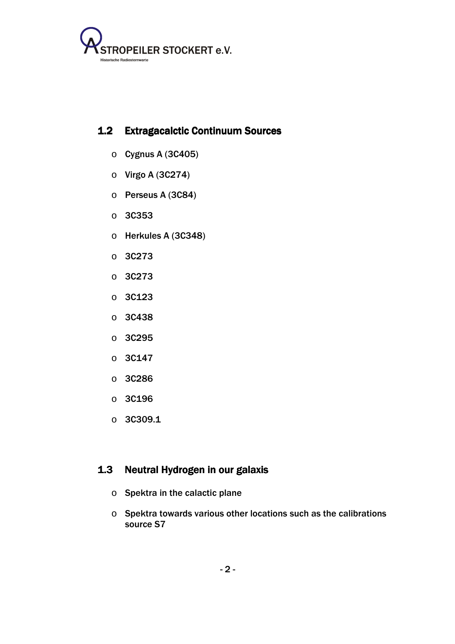

#### 1.2 Extragacalctic Continuum Sources

- $\circ$  Cygnus A (3C405)
- o Virgo A (3C274)
- o Perseus A (3C84)
- o 3C353
- o Herkules A (3C348)
- o 3C273
- o 3C273
- o 3C123
- o 3C438
- o 3C295
- o 3C147
- o 3C286
- o 3C196
- o 3C309.1

#### 1.3 Neutral Hydrogen in our galaxis

- o Spektra in the calactic plane
- o Spektra towards various other locations such as the calibrations source S7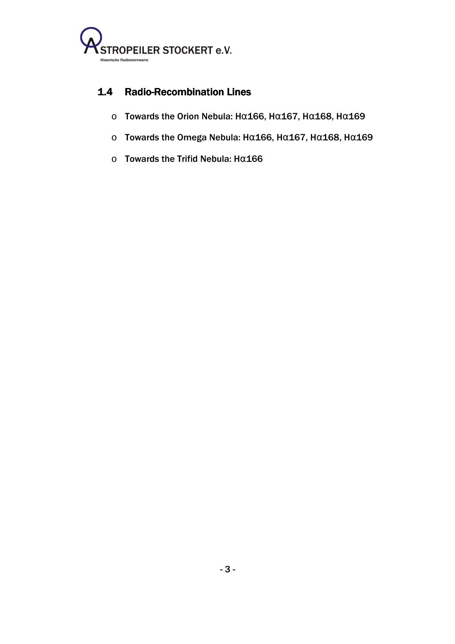

#### 1.4 Radio-Recombination Lines

- o Towards the Orion Nebula: Hα166, Hα167, Hα168, Hα169
- ο Towards the Omega Nebula: Hα166, Hα167, Hα168, Hα169
- o Towards the Trifid Nebula: Hα166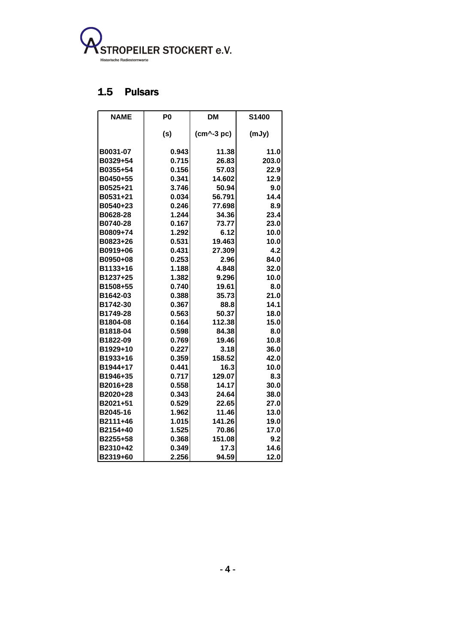

## 1.5 Pulsars

| <b>NAME</b> | P <sub>0</sub> | <b>DM</b>     | S1400 |
|-------------|----------------|---------------|-------|
|             | (s)            | $(cm^4-3 pc)$ | (mJy) |
| B0031-07    | 0.943          | 11.38         | 11.0  |
| B0329+54    | 0.715          | 26.83         | 203.0 |
| B0355+54    | 0.156          | 57.03         | 22.9  |
| B0450+55    | 0.341          | 14.602        | 12.9  |
| B0525+21    | 3.746          | 50.94         | 9.0   |
| B0531+21    | 0.034          | 56.791        | 14.4  |
| B0540+23    | 0.246          | 77.698        | 8.9   |
| B0628-28    | 1.244          | 34.36         | 23.4  |
| B0740-28    | 0.167          | 73.77         | 23.0  |
| B0809+74    | 1.292          | 6.12          | 10.0  |
| B0823+26    | 0.531          | 19.463        | 10.0  |
| B0919+06    | 0.431          | 27.309        | 4.2   |
| B0950+08    | 0.253          | 2.96          | 84.0  |
| B1133+16    | 1.188          | 4.848         | 32.0  |
| B1237+25    | 1.382          | 9.296         | 10.0  |
| B1508+55    | 0.740          | 19.61         | 8.0   |
| B1642-03    | 0.388          | 35.73         | 21.0  |
| B1742-30    | 0.367          | 88.8          | 14.1  |
| B1749-28    | 0.563          | 50.37         | 18.0  |
| B1804-08    | 0.164          | 112.38        | 15.0  |
| B1818-04    | 0.598          | 84.38         | 8.0   |
| B1822-09    | 0.769          | 19.46         | 10.8  |
| B1929+10    | 0.227          | 3.18          | 36.0  |
| B1933+16    | 0.359          | 158.52        | 42.0  |
| B1944+17    | 0.441          | 16.3          | 10.0  |
| B1946+35    | 0.717          | 129.07        | 8.3   |
| B2016+28    | 0.558          | 14.17         | 30.0  |
| B2020+28    | 0.343          | 24.64         | 38.0  |
| B2021+51    | 0.529          | 22.65         | 27.0  |
| B2045-16    | 1.962          | 11.46         | 13.0  |
| B2111+46    | 1.015          | 141.26        | 19.0  |
| B2154+40    | 1.525          | 70.86         | 17.0  |
| B2255+58    | 0.368          | 151.08        | 9.2   |
| B2310+42    | 0.349          | 17.3          | 14.6  |
| B2319+60    | 2.256          | 94.59         | 12.0  |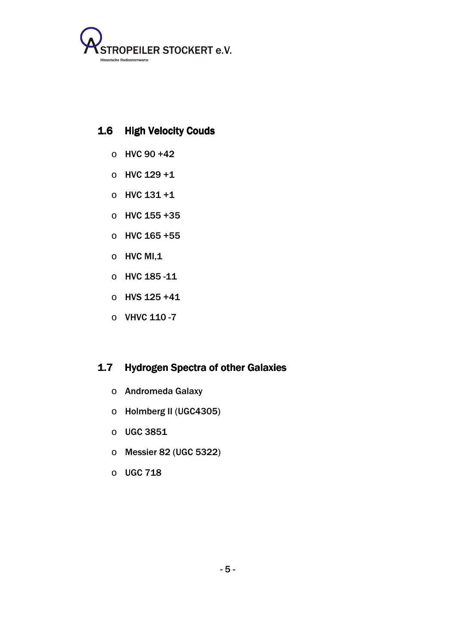

#### 1.6 High Velocity Couds

- $\circ$  HVC 90 +42
- o HVC 129 +1
- $O$  HVC 131 +1
- o HVC 155 +35
- o HVC 165 +55
- $\circ$  HVC MI,1
- o HVC 185 -11
- o HVS 125 +41
- $O$  VHVC 110 -7

## 1.7 Hydrogen Spectra of other Galaxies

- o Andromeda Galaxy
- o Holmberg II (UGC4305)
- o UGC 3851
- o Messier 82 (UGC 5322)
- o UGC 718